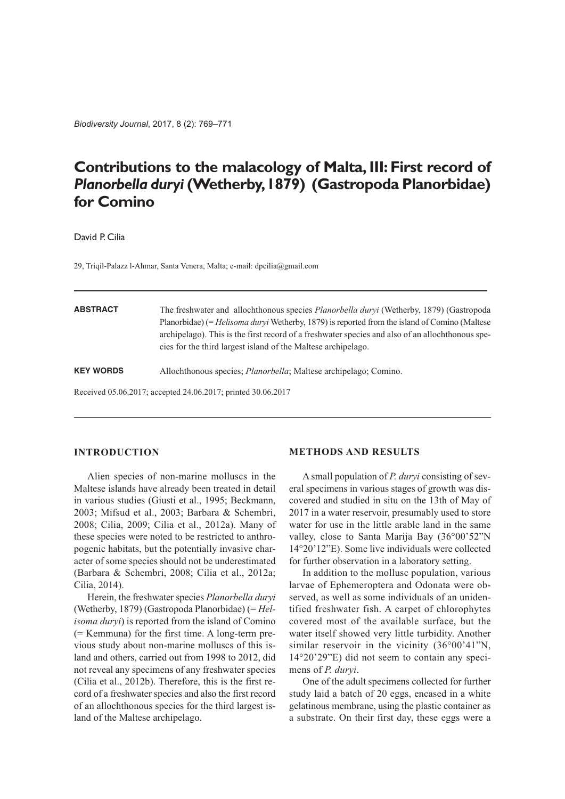*Biodiversity Journal*, 2017, 8 (2): 769–771

# **Contributions to the malacology of Malta,III: First record of** *Planorbella duryi***(Wetherby,1879) (Gastropoda Planorbidae) for Comino**

David P. Cilia

29, Triqil-Palazz l-Aħmar, Santa Venera, Malta; e-mail: dpcilia@gmail.com

| <b>ABSTRACT</b>  | The freshwater and allochthonous species <i>Planorbella durvi</i> (Wetherby, 1879) (Gastropoda<br>Planorbidae) (= Helisoma duryi Wetherby, 1879) is reported from the island of Comino (Maltese<br>archipelago). This is the first record of a freshwater species and also of an allochthonous spe-<br>cies for the third largest island of the Maltese archipelago. |
|------------------|----------------------------------------------------------------------------------------------------------------------------------------------------------------------------------------------------------------------------------------------------------------------------------------------------------------------------------------------------------------------|
| <b>KEY WORDS</b> | Allochthonous species; <i>Planorbella</i> ; Maltese archipelago; Comino.                                                                                                                                                                                                                                                                                             |
|                  | Received 05.06.2017; accepted 24.06.2017; printed 30.06.2017                                                                                                                                                                                                                                                                                                         |

## **INTRODUCTION**

Alien species of non-marine molluscs in the Maltese islands have already been treated in detail in various studies (Giusti et al., 1995; Beckmann, 2003; Mifsud et al., 2003; Barbara & Schembri, 2008; Cilia, 2009; Cilia et al., 2012a). Many of these species were noted to be restricted to anthropogenic habitats, but the potentially invasive character of some species should not be underestimated (Barbara & Schembri, 2008; Cilia et al., 2012a; Cilia, 2014).

Herein, the freshwater species *Planorbella duryi* (Wetherby, 1879) (Gastropoda Planorbidae) (= *Helisoma duryi*) is reported from the island of Comino (= Kemmuna) for the first time. A long-term previous study about non-marine molluscs of this island and others, carried out from 1998 to 2012, did not reveal any specimens of any freshwater species (Cilia et al., 2012b). Therefore, this is the first record of a freshwater species and also the first record of an allochthonous species for the third largest island of the Maltese archipelago.

### **METHODS AND RESULTS**

A small population of *P. duryi* consisting of several specimens in various stages of growth was discovered and studied in situ on the 13th of May of 2017 in a water reservoir, presumably used to store water for use in the little arable land in the same valley, close to Santa Marija Bay (36°00'52"N 14°20'12"E). Some live individuals were collected for further observation in a laboratory setting.

In addition to the mollusc population, various larvae of Ephemeroptera and Odonata were observed, as well as some individuals of an unidentified freshwater fish. A carpet of chlorophytes covered most of the available surface, but the water itself showed very little turbidity. Another similar reservoir in the vicinity (36°00'41"N, 14°20'29"E) did not seem to contain any specimens of *P. duryi*.

One of the adult specimens collected for further study laid a batch of 20 eggs, encased in a white gelatinous membrane, using the plastic container as a substrate. On their first day, these eggs were a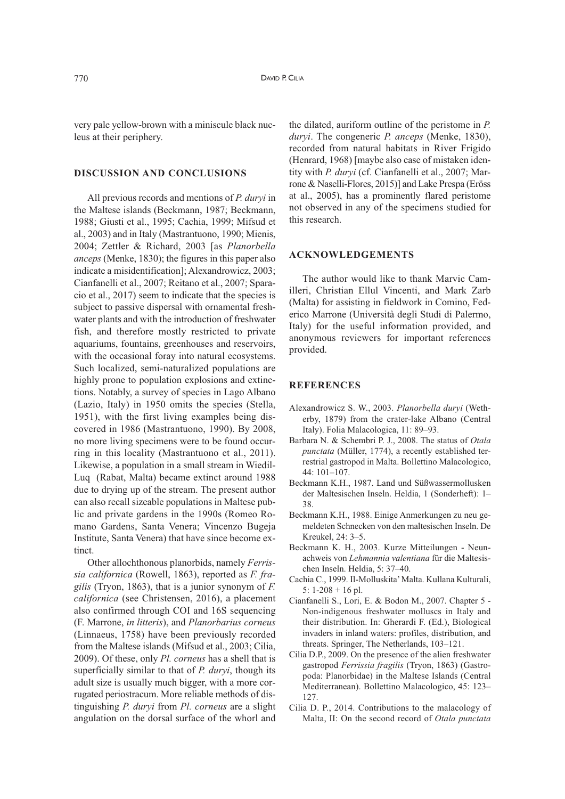very pale yellow-brown with a miniscule black nucleus at their periphery.

#### **DISCUSSION AND CONCLUSIONS**

All previous records and mentions of *P. duryi* in the Maltese islands (Beckmann, 1987; Beckmann, 1988; Giusti et al., 1995; Cachia, 1999; Mifsud et al., 2003) and in Italy (Mastrantuono, 1990; Mienis, 2004; Zettler & Richard, 2003 [as *Planorbella anceps* (Menke, 1830); the figures in this paper also indicate a misidentification]; Alexandrowicz, 2003; Cianfanelli et al., 2007; Reitano et al., 2007; Sparacio et al., 2017) seem to indicate that the species is subject to passive dispersal with ornamental freshwater plants and with the introduction of freshwater fish, and therefore mostly restricted to private aquariums, fountains, greenhouses and reservoirs, with the occasional foray into natural ecosystems. Such localized, semi-naturalized populations are highly prone to population explosions and extinctions. Notably, a survey of species in Lago Albano (Lazio, Italy) in 1950 omits the species (Stella, 1951), with the first living examples being discovered in 1986 (Mastrantuono, 1990). By 2008, no more living specimens were to be found occurring in this locality (Mastrantuono et al., 2011). Likewise, a population in a small stream in Wiedil-Luq (Rabat, Malta) became extinct around 1988 due to drying up of the stream. The present author can also recall sizeable populations in Maltese public and private gardens in the 1990s (Romeo Romano Gardens, Santa Venera; Vincenzo Bugeja Institute, Santa Venera) that have since become extinct.

Other allochthonous planorbids, namely *Ferrissia californica* (Rowell, 1863), reported as *F. fragilis* (Tryon, 1863), that is a junior synonym of *F. californica* (see Christensen, 2016), a placement also confirmed through COI and 16S sequencing (F. Marrone, *in litteris*), and *Planorbarius corneus* (Linnaeus, 1758) have been previously recorded from the Maltese islands (Mifsud et al., 2003; Cilia, 2009). Of these, only *Pl. corneus* has a shell that is superficially similar to that of *P. duryi*, though its adult size is usually much bigger, with a more corrugated periostracum. More reliable methods of distinguishing *P. duryi* from *Pl. corneus* are a slight angulation on the dorsal surface of the whorl and

the dilated, auriform outline of the peristome in *P. duryi*. The congeneric *P. anceps* (Menke, 1830), recorded from natural habitats in River Frigido (Henrard, 1968) [maybe also case of mistaken identity with *P. duryi* (cf. Cianfanelli et al., 2007; Marrone & Naselli-Flores, 2015)] and Lake Prespa (Eröss at al., 2005), has a prominently flared peristome not observed in any of the specimens studied for this research.

#### **ACKNOWLEDGEMENTS**

The author would like to thank Marvic Camilleri, Christian Ellul Vincenti, and Mark Zarb (Malta) for assisting in fieldwork in Comino, Federico Marrone (Università degli Studi di Palermo, Italy) for the useful information provided, and anonymous reviewers for important references provided.

#### **REFERENCES**

- Alexandrowicz S. W., 2003. *Planorbella duryi* (Wetherby, 1879) from the crater-lake Albano (Central Italy). Folia Malacologica, 11: 89–93.
- Barbara N. & Schembri P. J., 2008. The status of *Otala punctata* (Müller, 1774), a recently established terrestrial gastropod in Malta. Bollettino Malacologico, 44: 101–107.
- Beckmann K.H., 1987. Land und Süßwassermollusken der Maltesischen Inseln. Heldia, 1 (Sonderheft): 1– 38.
- Beckmann K.H., 1988. Einige Anmerkungen zu neu gemeldeten Schnecken von den maltesischen Inseln. De Kreukel, 24: 3–5.
- Beckmann K. H., 2003. Kurze Mitteilungen Neunachweis von *Lehmannia valentiana* für die Maltesischen Inseln. Heldia, 5: 37–40.
- Cachia C., 1999. Il-Molluskita'Malta. Kullana Kulturali, 5:  $1-208 + 16$  pl.
- Cianfanelli S., Lori, E. & Bodon M., 2007. Chapter 5 Non-indigenous freshwater molluscs in Italy and their distribution. In: Gherardi F. (Ed.), Biological invaders in inland waters: profiles, distribution, and threats. Springer, The Netherlands, 103–121.
- Cilia D.P., 2009. On the presence of the alien freshwater gastropod *Ferrissia fragilis* (Tryon, 1863) (Gastropoda: Planorbidae) in the Maltese Islands (Central Mediterranean). Bollettino Malacologico, 45: 123– 127.
- Cilia D. P., 2014. Contributions to the malacology of Malta, II: On the second record of *Otala punctata*